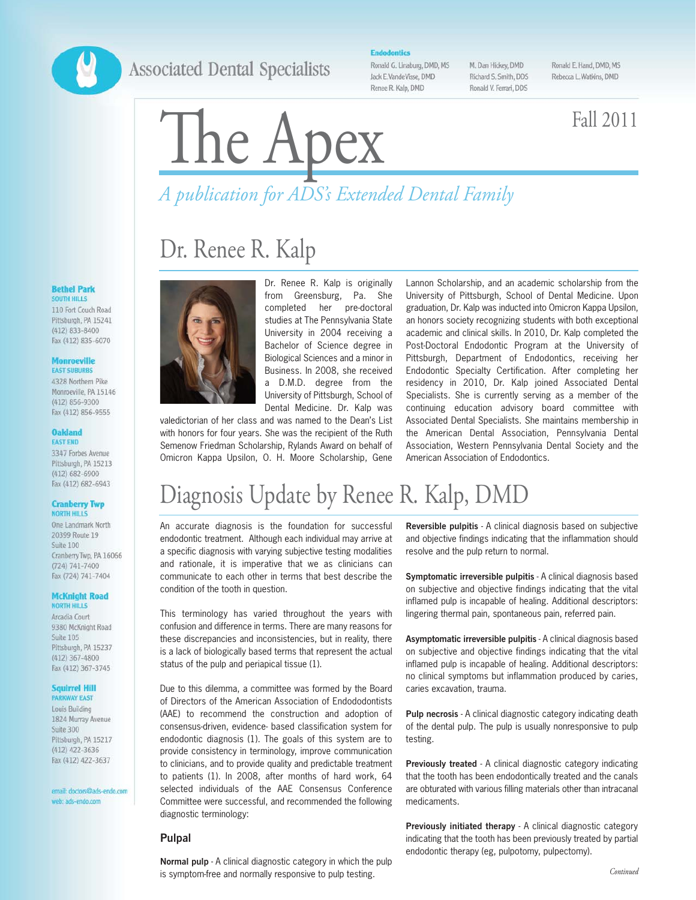## **Associated Dental Specialists**

**Endodontics** 

Ronald G. Linaburg, DMD, MS Jack E.VandeVisse, DMD Renee R. Kalp, DMD

M. Dan Hickey, DMD Richard S. Smith, DDS Ronald V. Ferrari, DDS Ronald E. Hand, DMD, MS Rebecca L Watkins, DMD

# The Apex Fall 2011

## *A publication for ADS's Extended Dental Family*

## Dr. Renee R. Kalp



Dr. Renee R. Kalp is originally from Greensburg, Pa. She completed her pre-doctoral studies at The Pennsylvania State University in 2004 receiving a Bachelor of Science degree in Biological Sciences and a minor in Business. In 2008, she received a D.M.D. degree from the University of Pittsburgh, School of Dental Medicine. Dr. Kalp was

valedictorian of her class and was named to the Dean's List with honors for four years. She was the recipient of the Ruth Semenow Friedman Scholarship, Rylands Award on behalf of Omicron Kappa Upsilon, O. H. Moore Scholarship, Gene

Lannon Scholarship, and an academic scholarship from the University of Pittsburgh, School of Dental Medicine. Upon graduation, Dr. Kalp was inducted into Omicron Kappa Upsilon, an honors society recognizing students with both exceptional academic and clinical skills. In 2010, Dr. Kalp completed the Post-Doctoral Endodontic Program at the University of Pittsburgh, Department of Endodontics, receiving her Endodontic Specialty Certification. After completing her residency in 2010, Dr. Kalp joined Associated Dental Specialists. She is currently serving as a member of the continuing education advisory board committee with Associated Dental Specialists. She maintains membership in the American Dental Association, Pennsylvania Dental Association, Western Pennsylvania Dental Society and the American Association of Endodontics.

## Diagnosis Update by Renee R. Kalp, DMD

An accurate diagnosis is the foundation for successful endodontic treatment. Although each individual may arrive at a specific diagnosis with varying subjective testing modalities and rationale, it is imperative that we as clinicians can communicate to each other in terms that best describe the condition of the tooth in question.

This terminology has varied throughout the years with confusion and difference in terms. There are many reasons for these discrepancies and inconsistencies, but in reality, there is a lack of biologically based terms that represent the actual status of the pulp and periapical tissue (1).

Due to this dilemma, a committee was formed by the Board of Directors of the American Association of Endododontists (AAE) to recommend the construction and adoption of consensus-driven, evidence- based classification system for endodontic diagnosis (1). The goals of this system are to provide consistency in terminology, improve communication to clinicians, and to provide quality and predictable treatment to patients (1). In 2008, after months of hard work, 64 selected individuals of the AAE Consensus Conference Committee were successful, and recommended the following diagnostic terminology:

#### **Pulpal**

**Normal pulp** - A clinical diagnostic category in which the pulp is symptom-free and normally responsive to pulp testing.

**Reversible pulpitis** - A clinical diagnosis based on subjective and objective findings indicating that the inflammation should resolve and the pulp return to normal.

**Symptomatic irreversible pulpitis** - A clinical diagnosis based on subjective and objective findings indicating that the vital inflamed pulp is incapable of healing. Additional descriptors: lingering thermal pain, spontaneous pain, referred pain.

**Asymptomatic irreversible pulpitis** - A clinical diagnosis based on subjective and objective findings indicating that the vital inflamed pulp is incapable of healing. Additional descriptors: no clinical symptoms but inflammation produced by caries, caries excavation, trauma.

**Pulp necrosis** - A clinical diagnostic category indicating death of the dental pulp. The pulp is usually nonresponsive to pulp testing.

**Previously treated** - A clinical diagnostic category indicating that the tooth has been endodontically treated and the canals are obturated with various filling materials other than intracanal medicaments.

**Previously initiated therapy** - A clinical diagnostic category indicating that the tooth has been previously treated by partial endodontic therapy (eg, pulpotomy, pulpectomy).

#### **Bethel Park** SOUTH HILLS 110 Fort Couch Road

Pittsburgh, PA 15241  $(412) 833 - 8400$ Fax (412) 835-6070

#### **Monroeville EAST SUBURBS**

4328 Northern Pike Monroeville PA 15146 (412) 856-9300 Fax (412) 856-9555

#### **Oakland FAST FND**

3347 Forbes Avenue Pittsburgh, PA 15213  $(412) 682 - 6900$ Fax (412) 682-6943

#### **Cranberry Twp NORTH HILLS**

One Landmark North 20399 Route 19 Suite 100 Cranberry Twp, PA 16066  $(724) 741 - 7400$ Fax (724) 741-7404

#### **McKnight Road NORTH HILLS**

Arcadia Court 9380 McKnight Road Suite 105 Pittsburgh, PA 15237  $(412)$  367-4800 Fax (412) 367-3745

#### **Squirrel Hill**

**PARKWAY EAST** Louis Building 1824 Murray Avenue Suite 300 Pittsburgh, PA 15217  $(412)$  422-3636 Fax (412) 422-3637

email: doctors@ads-endo.com web: ads-endo.com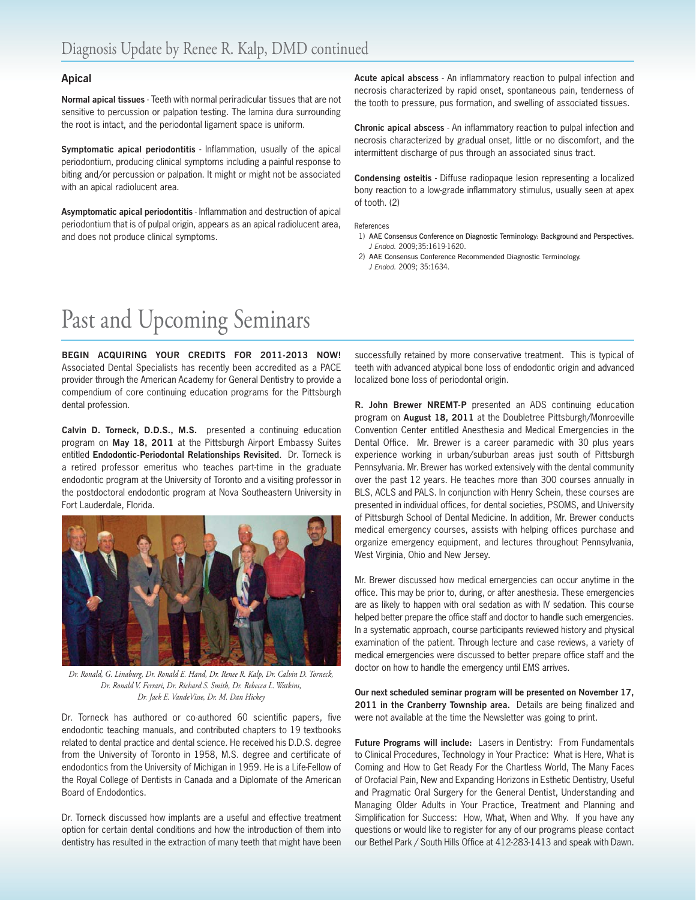#### **Apical**

**Normal apical tissues** - Teeth with normal periradicular tissues that are not sensitive to percussion or palpation testing. The lamina dura surrounding the root is intact, and the periodontal ligament space is uniform.

**Symptomatic apical periodontitis** - Inflammation, usually of the apical periodontium, producing clinical symptoms including a painful response to biting and/or percussion or palpation. It might or might not be associated with an apical radiolucent area.

**Asymptomatic apical periodontitis** - Inflammation and destruction of apical periodontium that is of pulpal origin, appears as an apical radiolucent area, and does not produce clinical symptoms.

**Acute apical abscess** - An inflammatory reaction to pulpal infection and necrosis characterized by rapid onset, spontaneous pain, tenderness of the tooth to pressure, pus formation, and swelling of associated tissues.

**Chronic apical abscess** - An inflammatory reaction to pulpal infection and necrosis characterized by gradual onset, little or no discomfort, and the intermittent discharge of pus through an associated sinus tract.

**Condensing osteitis** - Diffuse radiopaque lesion representing a localized bony reaction to a low-grade inflammatory stimulus, usually seen at apex of tooth. (2)

#### References

- 1) AAE Consensus Conference on Diagnostic Terminology: Background and Perspectives. *J Endod.* 2009;35:1619-1620.
- 2) AAE Consensus Conference Recommended Diagnostic Terminology. *J Endod.* 2009; 35:1634.

## Past and Upcoming Seminars

**BEGIN ACQUIRING YOUR CREDITS FOR 2011-2013 NOW!** Associated Dental Specialists has recently been accredited as a PACE provider through the American Academy for General Dentistry to provide a compendium of core continuing education programs for the Pittsburgh dental profession.

**Calvin D. Torneck, D.D.S., M.S.** presented a continuing education program on **May 18, 2011** at the Pittsburgh Airport Embassy Suites entitled **Endodontic-Periodontal Relationships Revisited**. Dr. Torneck is a retired professor emeritus who teaches part-time in the graduate endodontic program at the University of Toronto and a visiting professor in the postdoctoral endodontic program at Nova Southeastern University in Fort Lauderdale, Florida.



*Dr. Ronald, G. Linaburg, Dr. Ronald E. Hand, Dr. Renee R. Kalp, Dr. Calvin D. Torneck, Dr. Ronald V. Ferrari, Dr. Richard S. Smith, Dr. Rebecca L. Watkins, Dr. Jack E. VandeVisse, Dr. M. Dan Hickey*

Dr. Torneck has authored or co-authored 60 scientific papers, five endodontic teaching manuals, and contributed chapters to 19 textbooks related to dental practice and dental science. He received his D.D.S. degree from the University of Toronto in 1958, M.S. degree and certificate of endodontics from the University of Michigan in 1959. He is a Life-Fellow of the Royal College of Dentists in Canada and a Diplomate of the American Board of Endodontics.

Dr. Torneck discussed how implants are a useful and effective treatment option for certain dental conditions and how the introduction of them into dentistry has resulted in the extraction of many teeth that might have been

successfully retained by more conservative treatment. This is typical of teeth with advanced atypical bone loss of endodontic origin and advanced localized bone loss of periodontal origin.

**R. John Brewer NREMT-P** presented an ADS continuing education program on **August 18, 2011** at the Doubletree Pittsburgh/Monroeville Convention Center entitled Anesthesia and Medical Emergencies in the Dental Office. Mr. Brewer is a career paramedic with 30 plus years experience working in urban/suburban areas just south of Pittsburgh Pennsylvania. Mr. Brewer has worked extensively with the dental community over the past 12 years. He teaches more than 300 courses annually in BLS, ACLS and PALS. In conjunction with Henry Schein, these courses are presented in individual offices, for dental societies, PSOMS, and University of Pittsburgh School of Dental Medicine. In addition, Mr. Brewer conducts medical emergency courses, assists with helping offices purchase and organize emergency equipment, and lectures throughout Pennsylvania, West Virginia, Ohio and New Jersey.

Mr. Brewer discussed how medical emergencies can occur anytime in the office. This may be prior to, during, or after anesthesia. These emergencies are as likely to happen with oral sedation as with IV sedation. This course helped better prepare the office staff and doctor to handle such emergencies. In a systematic approach, course participants reviewed history and physical examination of the patient. Through lecture and case reviews, a variety of medical emergencies were discussed to better prepare office staff and the doctor on how to handle the emergency until EMS arrives.

**Our next scheduled seminar program will be presented on November 17, 2011 in the Cranberry Township area.** Details are being finalized and were not available at the time the Newsletter was going to print.

**Future Programs will include:** Lasers in Dentistry: From Fundamentals to Clinical Procedures, Technology in Your Practice: What is Here, What is Coming and How to Get Ready For the Chartless World, The Many Faces of Orofacial Pain, New and Expanding Horizons in Esthetic Dentistry, Useful and Pragmatic Oral Surgery for the General Dentist, Understanding and Managing Older Adults in Your Practice, Treatment and Planning and Simplification for Success: How, What, When and Why. If you have any questions or would like to register for any of our programs please contact our Bethel Park / South Hills Office at 412-283-1413 and speak with Dawn.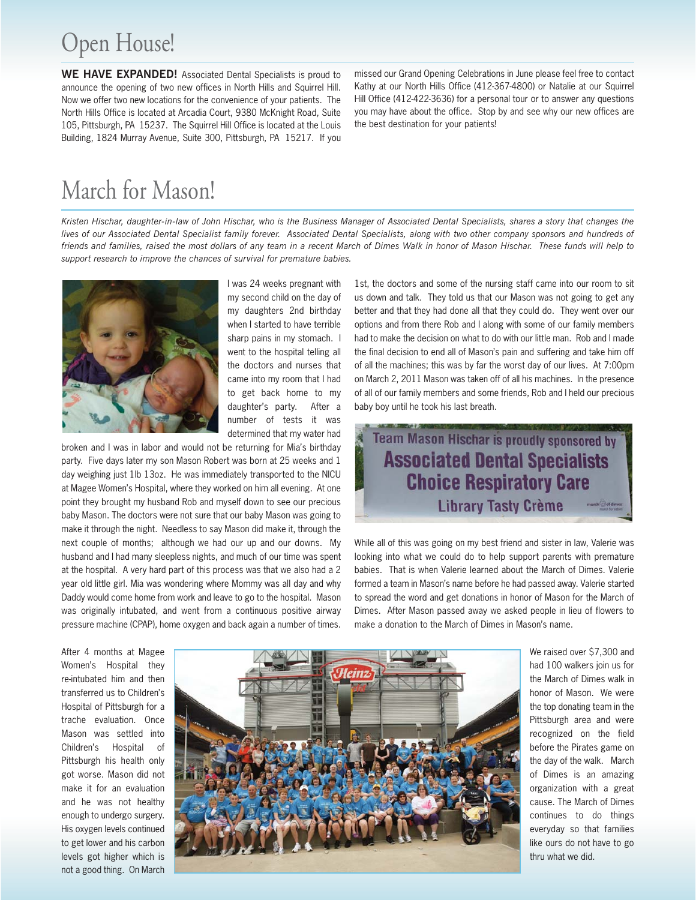## Open House!

**WE HAVE EXPANDED!** Associated Dental Specialists is proud to announce the opening of two new offices in North Hills and Squirrel Hill. Now we offer two new locations for the convenience of your patients. The North Hills Office is located at Arcadia Court, 9380 McKnight Road, Suite 105, Pittsburgh, PA 15237. The Squirrel Hill Office is located at the Louis Building, 1824 Murray Avenue, Suite 300, Pittsburgh, PA 15217. If you missed our Grand Opening Celebrations in June please feel free to contact Kathy at our North Hills Office (412-367-4800) or Natalie at our Squirrel Hill Office (412-422-3636) for a personal tour or to answer any questions you may have about the office. Stop by and see why our new offices are the best destination for your patients!

## March for Mason!

*Kristen Hischar, daughter-in-law of John Hischar, who is the Business Manager of Associated Dental Specialists, shares a story that changes the lives of our Associated Dental Specialist family forever. Associated Dental Specialists, along with two other company sponsors and hundreds of friends and families, raised the most dollars of any team in a recent March of Dimes Walk in honor of Mason Hischar. These funds will help to support research to improve the chances of survival for premature babies.* 



I was 24 weeks pregnant with my second child on the day of my daughters 2nd birthday when I started to have terrible sharp pains in my stomach. I went to the hospital telling all the doctors and nurses that came into my room that I had to get back home to my daughter's party. After a number of tests it was determined that my water had

broken and I was in labor and would not be returning for Mia's birthday party. Five days later my son Mason Robert was born at 25 weeks and 1 day weighing just 1lb 13oz. He was immediately transported to the NICU at Magee Women's Hospital, where they worked on him all evening. At one point they brought my husband Rob and myself down to see our precious baby Mason. The doctors were not sure that our baby Mason was going to make it through the night. Needless to say Mason did make it, through the next couple of months; although we had our up and our downs. My husband and I had many sleepless nights, and much of our time was spent at the hospital. A very hard part of this process was that we also had a 2 year old little girl. Mia was wondering where Mommy was all day and why Daddy would come home from work and leave to go to the hospital. Mason was originally intubated, and went from a continuous positive airway pressure machine (CPAP), home oxygen and back again a number of times.

1st, the doctors and some of the nursing staff came into our room to sit us down and talk. They told us that our Mason was not going to get any better and that they had done all that they could do. They went over our options and from there Rob and I along with some of our family members had to make the decision on what to do with our little man. Rob and I made the final decision to end all of Mason's pain and suffering and take him off of all the machines; this was by far the worst day of our lives. At 7:00pm on March 2, 2011 Mason was taken off of all his machines. In the presence of all of our family members and some friends, Rob and I held our precious baby boy until he took his last breath.

Team Mason Hischar is proudly sponsored by **Associated Dental Specialists Choice Respiratory Care Library Tasty Crème** 

While all of this was going on my best friend and sister in law, Valerie was looking into what we could do to help support parents with premature babies. That is when Valerie learned about the March of Dimes. Valerie formed a team in Mason's name before he had passed away. Valerie started to spread the word and get donations in honor of Mason for the March of Dimes. After Mason passed away we asked people in lieu of flowers to make a donation to the March of Dimes in Mason's name.

After 4 months at Magee Women's Hospital they re-intubated him and then transferred us to Children's Hospital of Pittsburgh for a trache evaluation. Once Mason was settled into Children's Hospital of Pittsburgh his health only got worse. Mason did not make it for an evaluation and he was not healthy enough to undergo surgery. His oxygen levels continued to get lower and his carbon levels got higher which is not a good thing. On March



We raised over \$7,300 and had 100 walkers join us for the March of Dimes walk in honor of Mason. We were the top donating team in the Pittsburgh area and were recognized on the field before the Pirates game on the day of the walk. March of Dimes is an amazing organization with a great cause. The March of Dimes continues to do things everyday so that families like ours do not have to go thru what we did.